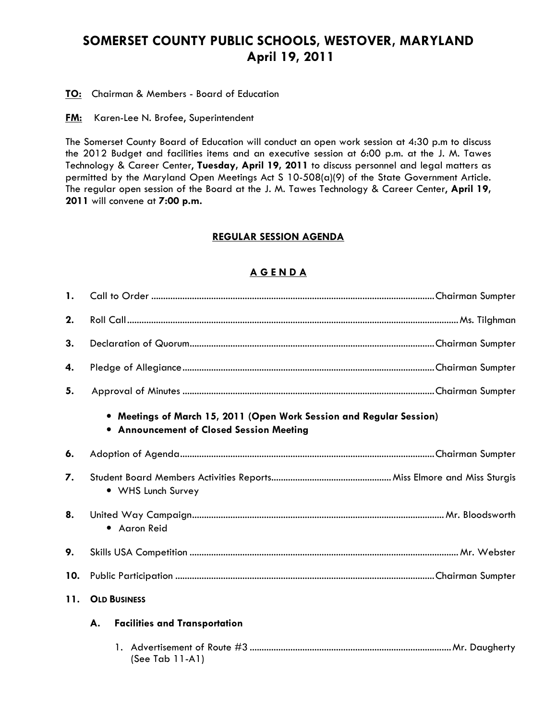## SOMERSET COUNTY PUBLIC SCHOOLS, WESTOVER, MARYLAND April 19, 2011

**TO:** Chairman & Members - Board of Education

**FM:** Karen-Lee N. Brofee, Superintendent

The Somerset County Board of Education will conduct an open work session at 4:30 p.m to discuss the 2012 Budget and facilities items and an executive session at 6:00 p.m. at the J. M. Tawes Technology & Career Center, Tuesday, April 19, 2011 to discuss personnel and legal matters as permitted by the Maryland Open Meetings Act S 10-508(a)(9) of the State Government Article. The regular open session of the Board at the J. M. Tawes Technology & Career Center, April 19, 2011 will convene at 7:00 p.m.

## REGULAR SESSION AGENDA

## A G E N D A

| $\mathbf{1}$ . |                                                                                                                  |  |  |
|----------------|------------------------------------------------------------------------------------------------------------------|--|--|
| 2.             |                                                                                                                  |  |  |
| 3.             |                                                                                                                  |  |  |
| 4.             |                                                                                                                  |  |  |
| 5.             |                                                                                                                  |  |  |
|                | • Meetings of March 15, 2011 (Open Work Session and Regular Session)<br>• Announcement of Closed Session Meeting |  |  |
| 6.             |                                                                                                                  |  |  |
| 7.             | • WHS Lunch Survey                                                                                               |  |  |
| 8.             | • Aaron Reid                                                                                                     |  |  |
| 9.             |                                                                                                                  |  |  |
| 10.            |                                                                                                                  |  |  |
| 11.            | <b>OLD BUSINESS</b>                                                                                              |  |  |
|                | <b>Facilities and Transportation</b><br>А.                                                                       |  |  |
|                | (See Tab 11-A1)                                                                                                  |  |  |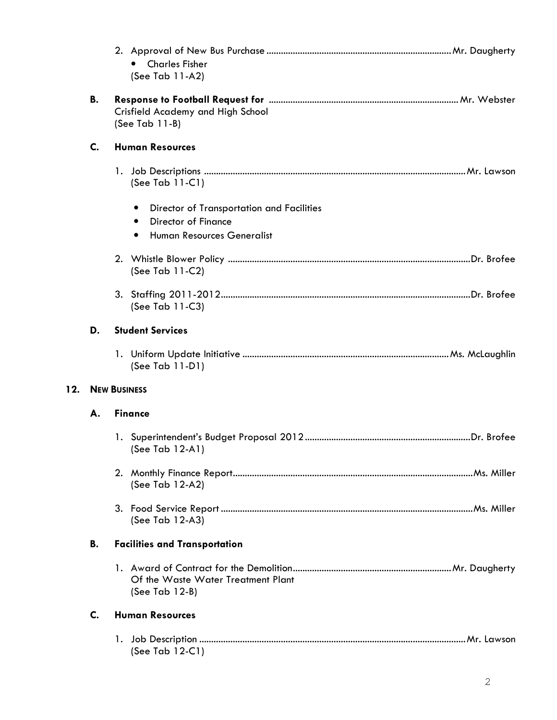|     |    | <b>Charles Fisher</b><br>(See Tab 11-A2)               |
|-----|----|--------------------------------------------------------|
|     | В. | Crisfield Academy and High School<br>(See Tab $11-B$ ) |
|     | C. | <b>Human Resources</b>                                 |
|     |    | (See Tab $11-C1$ )                                     |
|     |    | Director of Transportation and Facilities<br>٠         |
|     |    | <b>Director of Finance</b><br>٠                        |
|     |    | Human Resources Generalist<br>٠                        |
|     |    | (See Tab 11-C2)                                        |
|     |    | (See Tab 11-C3)                                        |
|     | D. | <b>Student Services</b>                                |
|     |    | (See Tab 11-D1)                                        |
| 12. |    | <b>NEW BUSINESS</b>                                    |
|     | А. | <b>Finance</b>                                         |
|     |    | (See Tab 12-A1)                                        |
|     |    | (See Tab 12-A2)                                        |
|     |    | (See Tab 12-A3)                                        |
|     | В. | <b>Facilities and Transportation</b>                   |
|     |    | Of the Waste Water Treatment Plant<br>(See Tab 12-B)   |
|     | C. | <b>Human Resources</b>                                 |
|     |    | (See Tab $12-C1$ )                                     |